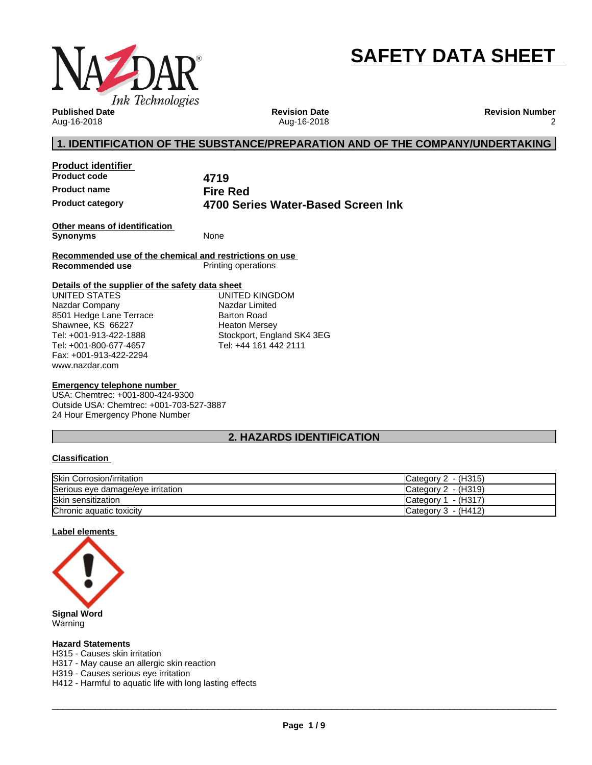

# **SAFETY DATA SHEET**

**Published Date** Aug-16-2018

**Revision Date** Aug-16-2018 **Revision Number** 2

# **1. IDENTIFICATION OF THE SUBSTANCE/PREPARATION AND OF THE COMPANY/UNDERTAKING**

**Product identifier Product code 4719 Product name Fire Red**

**Product category 4700 Series Water-Based Screen Ink**

**Other means of identification Synonyms** None

**Recommended use of the chemical and restrictions on use Printing operations** 

#### **Details of the supplier of the safety data sheet**

www.nazdar.com UNITED STATES Nazdar Company 8501 Hedge Lane Terrace Shawnee, KS 66227 Tel: +001-913-422-1888 Tel: +001-800-677-4657 Fax: +001-913-422-2294

UNITED KINGDOM Nazdar Limited Barton Road Heaton Mersey Stockport, England SK4 3EG Tel: +44 161 442 2111

#### **Emergency telephone number**

USA: Chemtrec: +001-800-424-9300 Outside USA: Chemtrec: +001-703-527-3887 24 Hour Emergency Phone Number

# **2. HAZARDS IDENTIFICATION**

#### **Classification**

| <b>Skin Corrosion/irritation</b>  | - (H315)<br>Category 2 |
|-----------------------------------|------------------------|
| Serious eye damage/eye irritation | Category 2 - (H319)    |
| Skin sensitization                | - (H317`<br>Category 1 |
| Chronic aquatic toxicity          | Category 3 - (H412)    |

#### **Label elements**



Warning

#### **Hazard Statements**

H315 - Causes skin irritation

H317 - May cause an allergic skin reaction

H319 - Causes serious eye irritation

H412 - Harmful to aquatic life with long lasting effects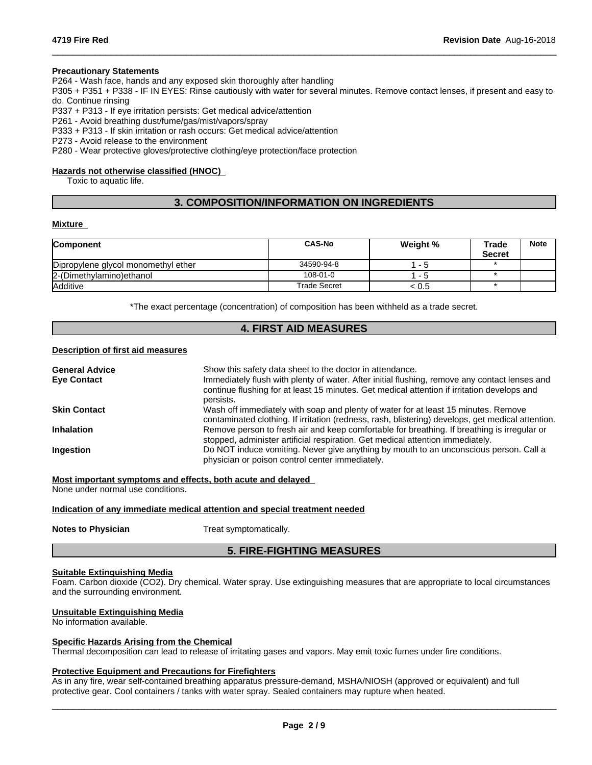#### **Precautionary Statements**

P264 - Wash face, hands and any exposed skin thoroughly after handling

P305 + P351 + P338 - IF IN EYES: Rinse cautiously with water forseveral minutes. Remove contact lenses, if present and easy to do. Continue rinsing

 $\_$  ,  $\_$  ,  $\_$  ,  $\_$  ,  $\_$  ,  $\_$  ,  $\_$  ,  $\_$  ,  $\_$  ,  $\_$  ,  $\_$  ,  $\_$  ,  $\_$  ,  $\_$  ,  $\_$  ,  $\_$  ,  $\_$  ,  $\_$  ,  $\_$  ,  $\_$  ,  $\_$  ,  $\_$  ,  $\_$  ,  $\_$  ,  $\_$  ,  $\_$  ,  $\_$  ,  $\_$  ,  $\_$  ,  $\_$  ,  $\_$  ,  $\_$  ,  $\_$  ,  $\_$  ,  $\_$  ,  $\_$  ,  $\_$  ,

P337 + P313 - If eye irritation persists: Get medical advice/attention

P261 - Avoid breathing dust/fume/gas/mist/vapors/spray

P333 + P313 - If skin irritation or rash occurs: Get medical advice/attention

P273 - Avoid release to the environment

P280 - Wear protective gloves/protective clothing/eye protection/face protection

#### **Hazards not otherwise classified (HNOC)**

Toxic to aquatic life.

# **3. COMPOSITION/INFORMATION ON INGREDIENTS**

#### **Mixture**

| <b>Component</b>                    | <b>CAS-No</b>       | Weight % | Trade         | <b>Note</b> |
|-------------------------------------|---------------------|----------|---------------|-------------|
|                                     |                     |          | <b>Secret</b> |             |
| Dipropylene glycol monomethyl ether | 34590-94-8          | - 5      |               |             |
| 2-(Dimethylamino) ethanol           | $108 - 01 - 0$      | - 5      |               |             |
| <b>Additive</b>                     | <b>Trade Secret</b> | < 0.5    |               |             |

\*The exact percentage (concentration) of composition has been withheld as a trade secret.

#### **4. FIRST AID MEASURES**

#### **Description of first aid measures**

| <b>General Advice</b> | Show this safety data sheet to the doctor in attendance.                                                                                                                                                  |
|-----------------------|-----------------------------------------------------------------------------------------------------------------------------------------------------------------------------------------------------------|
| <b>Eve Contact</b>    | Immediately flush with plenty of water. After initial flushing, remove any contact lenses and<br>continue flushing for at least 15 minutes. Get medical attention if irritation develops and<br>persists. |
| <b>Skin Contact</b>   | Wash off immediately with soap and plenty of water for at least 15 minutes. Remove<br>contaminated clothing. If irritation (redness, rash, blistering) develops, get medical attention.                   |
| <b>Inhalation</b>     | Remove person to fresh air and keep comfortable for breathing. If breathing is irregular or<br>stopped, administer artificial respiration. Get medical attention immediately.                             |
| Ingestion             | Do NOT induce vomiting. Never give anything by mouth to an unconscious person. Call a<br>physician or poison control center immediately.                                                                  |

**Most important symptoms and effects, both acute and delayed**

None under normal use conditions.

#### **Indication of any immediate medical attention and special treatment needed**

**Notes to Physician** Treat symptomatically.

#### **5. FIRE-FIGHTING MEASURES**

#### **Suitable Extinguishing Media**

Foam. Carbon dioxide (CO2). Dry chemical. Water spray. Use extinguishing measures that are appropriate to local circumstances and the surrounding environment.

#### **Unsuitable Extinguishing Media**

No information available.

#### **Specific Hazards Arising from the Chemical**

Thermal decomposition can lead to release of irritating gases and vapors. May emit toxic fumes under fire conditions.

#### **Protective Equipment and Precautions for Firefighters**

As in any fire, wear self-contained breathing apparatus pressure-demand, MSHA/NIOSH (approved or equivalent) and full protective gear. Cool containers / tanks with water spray. Sealed containers may rupture when heated.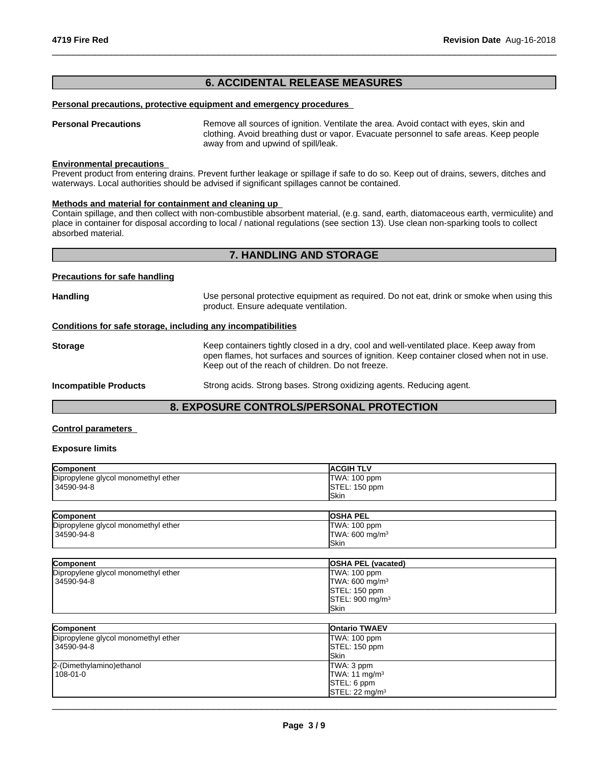# **6. ACCIDENTAL RELEASE MEASURES**

#### **Personal precautions, protective equipment and emergency procedures**

**Personal Precautions** Remove all sources of ignition. Ventilate the area. Avoid contact with eyes, skin and clothing. Avoid breathing dust or vapor. Evacuate personnel to safe areas. Keep people away from and upwind of spill/leak.

 $\_$  ,  $\_$  ,  $\_$  ,  $\_$  ,  $\_$  ,  $\_$  ,  $\_$  ,  $\_$  ,  $\_$  ,  $\_$  ,  $\_$  ,  $\_$  ,  $\_$  ,  $\_$  ,  $\_$  ,  $\_$  ,  $\_$  ,  $\_$  ,  $\_$  ,  $\_$  ,  $\_$  ,  $\_$  ,  $\_$  ,  $\_$  ,  $\_$  ,  $\_$  ,  $\_$  ,  $\_$  ,  $\_$  ,  $\_$  ,  $\_$  ,  $\_$  ,  $\_$  ,  $\_$  ,  $\_$  ,  $\_$  ,  $\_$  ,

#### **Environmental precautions**

Prevent product from entering drains. Prevent further leakage or spillage if safe to do so. Keep out of drains, sewers, ditches and waterways. Local authorities should be advised if significant spillages cannot be contained.

#### **Methods and material for containment and cleaning up**

Contain spillage, and then collectwith non-combustible absorbent material, (e.g. sand, earth, diatomaceous earth, vermiculite) and place in container for disposal according to local / national regulations (see section 13). Use clean non-sparking tools to collect absorbed material.

# **7. HANDLING AND STORAGE**

#### **Precautions for safe handling**

| Handling                                                     | Use personal protective equipment as required. Do not eat, drink or smoke when using this<br>product. Ensure adequate ventilation.                                                                                                        |
|--------------------------------------------------------------|-------------------------------------------------------------------------------------------------------------------------------------------------------------------------------------------------------------------------------------------|
| Conditions for safe storage, including any incompatibilities |                                                                                                                                                                                                                                           |
| Storage                                                      | Keep containers tightly closed in a dry, cool and well-ventilated place. Keep away from<br>open flames, hot surfaces and sources of ignition. Keep container closed when not in use.<br>Keep out of the reach of children. Do not freeze. |
| <b>Incompatible Products</b>                                 | Strong acids. Strong bases. Strong oxidizing agents. Reducing agent.                                                                                                                                                                      |
|                                                              |                                                                                                                                                                                                                                           |

# **8. EXPOSURE CONTROLS/PERSONAL PROTECTION**

#### **Control parameters**

#### **Exposure limits**

| <b>Component</b>                    | <b>IACGIH TLV</b> |
|-------------------------------------|-------------------|
| Dipropylene glycol monomethyl ether | TWA: 100 ppm      |
| 34590-94-8                          | STEL: 150 ppm     |
|                                     | lSkin             |
|                                     |                   |

| Component                           | <b>OSHA PEL</b>            |
|-------------------------------------|----------------------------|
| Dipropylene glycol monomethyl ether | TWA: 100 ppm               |
| 34590-94-8                          | TWA: 600 mg/m <sup>3</sup> |
|                                     | <b>ISkin</b>               |

| <b>Component</b>                    | <b>OSHA PEL (vacated)</b>            |
|-------------------------------------|--------------------------------------|
| Dipropylene glycol monomethyl ether | TWA: 100 ppm                         |
| 34590-94-8                          | TWA: 600 mg/m $3$                    |
|                                     | STEL: 150 ppm                        |
|                                     | $\textsf{ISTEL}: 900 \text{ mg/m}^3$ |
|                                     | <b>Skin</b>                          |

| Component                           | <b>Ontario TWAEV</b>                 |
|-------------------------------------|--------------------------------------|
| Dipropylene glycol monomethyl ether | TWA: 100 ppm                         |
| 34590-94-8                          | STEL: 150 ppm                        |
|                                     | <b>ISkin</b>                         |
| 2-(Dimethylamino) ethanol           | TWA: 3 ppm                           |
| $108 - 01 - 0$                      | TWA: 11 mg/m <sup>3</sup>            |
|                                     | STEL: 6 ppm                          |
|                                     | $\textsf{ISTEL}: 22 \textsf{mq/m}^3$ |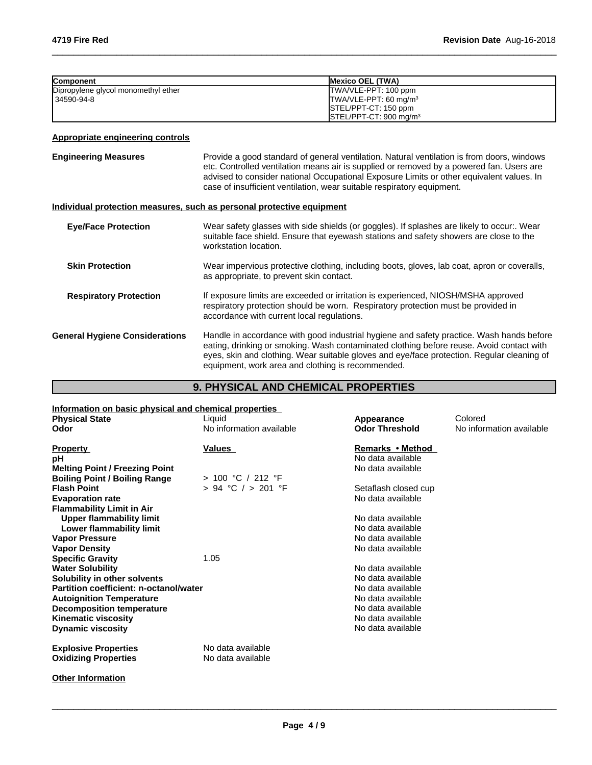| <b>Component</b>                    | <b>IMexico OEL (TWA)</b>                      |
|-------------------------------------|-----------------------------------------------|
| Dipropylene glycol monomethyl ether | <b>ITWA/VLE-PPT: 100 ppm</b>                  |
| 34590-94-8                          | $TWA/VLE-PPT: 60 mg/m3$                       |
|                                     | <b>ISTEL/PPT-CT: 150 ppm</b>                  |
|                                     | $\textsf{ISTEL/PPT-CT: 900}\,\textsf{mq/m}^3$ |

 $\_$  ,  $\_$  ,  $\_$  ,  $\_$  ,  $\_$  ,  $\_$  ,  $\_$  ,  $\_$  ,  $\_$  ,  $\_$  ,  $\_$  ,  $\_$  ,  $\_$  ,  $\_$  ,  $\_$  ,  $\_$  ,  $\_$  ,  $\_$  ,  $\_$  ,  $\_$  ,  $\_$  ,  $\_$  ,  $\_$  ,  $\_$  ,  $\_$  ,  $\_$  ,  $\_$  ,  $\_$  ,  $\_$  ,  $\_$  ,  $\_$  ,  $\_$  ,  $\_$  ,  $\_$  ,  $\_$  ,  $\_$  ,  $\_$  ,

# **Appropriate engineering controls**

| <b>Engineering Measures</b>           | Provide a good standard of general ventilation. Natural ventilation is from doors, windows<br>etc. Controlled ventilation means air is supplied or removed by a powered fan. Users are<br>advised to consider national Occupational Exposure Limits or other equivalent values. In<br>case of insufficient ventilation, wear suitable respiratory equipment. |
|---------------------------------------|--------------------------------------------------------------------------------------------------------------------------------------------------------------------------------------------------------------------------------------------------------------------------------------------------------------------------------------------------------------|
|                                       | Individual protection measures, such as personal protective equipment                                                                                                                                                                                                                                                                                        |
| <b>Eye/Face Protection</b>            | Wear safety glasses with side shields (or goggles). If splashes are likely to occur:. Wear<br>suitable face shield. Ensure that eyewash stations and safety showers are close to the<br>workstation location.                                                                                                                                                |
| <b>Skin Protection</b>                | Wear impervious protective clothing, including boots, gloves, lab coat, apron or coveralls,<br>as appropriate, to prevent skin contact.                                                                                                                                                                                                                      |
| <b>Respiratory Protection</b>         | If exposure limits are exceeded or irritation is experienced, NIOSH/MSHA approved<br>respiratory protection should be worn. Respiratory protection must be provided in<br>accordance with current local regulations.                                                                                                                                         |
| <b>General Hygiene Considerations</b> | Handle in accordance with good industrial hygiene and safety practice. Wash hands before<br>eating, drinking or smoking. Wash contaminated clothing before reuse. Avoid contact with<br>eyes, skin and clothing. Wear suitable gloves and eye/face protection. Regular cleaning of<br>equipment, work area and clothing is recommended.                      |

# **9. PHYSICAL AND CHEMICAL PROPERTIES**

| Information on basic physical and chemical properties |                          |                       |                          |  |
|-------------------------------------------------------|--------------------------|-----------------------|--------------------------|--|
| <b>Physical State</b>                                 | Liquid                   | Appearance            | Colored                  |  |
| Odor                                                  | No information available | <b>Odor Threshold</b> | No information available |  |
|                                                       |                          |                       |                          |  |
| <b>Property</b>                                       | Values                   | Remarks • Method      |                          |  |
| рH                                                    |                          | No data available     |                          |  |
| <b>Melting Point / Freezing Point</b>                 |                          | No data available     |                          |  |
| <b>Boiling Point / Boiling Range</b>                  | > 100 °C / 212 °F        |                       |                          |  |
| <b>Flash Point</b>                                    | $> 94$ °C $/ > 201$ °F   | Setaflash closed cup  |                          |  |
| <b>Evaporation rate</b>                               |                          | No data available     |                          |  |
| <b>Flammability Limit in Air</b>                      |                          |                       |                          |  |
| <b>Upper flammability limit</b>                       |                          | No data available     |                          |  |
| Lower flammability limit                              |                          | No data available     |                          |  |
| <b>Vapor Pressure</b>                                 |                          | No data available     |                          |  |
| <b>Vapor Density</b>                                  |                          | No data available     |                          |  |
| <b>Specific Gravity</b>                               | 1.05                     |                       |                          |  |
| <b>Water Solubility</b>                               |                          | No data available     |                          |  |
| Solubility in other solvents                          |                          | No data available     |                          |  |
| Partition coefficient: n-octanol/water                |                          | No data available     |                          |  |
| <b>Autoignition Temperature</b>                       |                          | No data available     |                          |  |
| <b>Decomposition temperature</b>                      |                          | No data available     |                          |  |
| <b>Kinematic viscosity</b>                            |                          | No data available     |                          |  |
| <b>Dynamic viscosity</b>                              |                          | No data available     |                          |  |
|                                                       |                          |                       |                          |  |
| <b>Explosive Properties</b>                           | No data available        |                       |                          |  |
| <b>Oxidizing Properties</b>                           | No data available        |                       |                          |  |
|                                                       |                          |                       |                          |  |
|                                                       |                          |                       |                          |  |

**Other Information**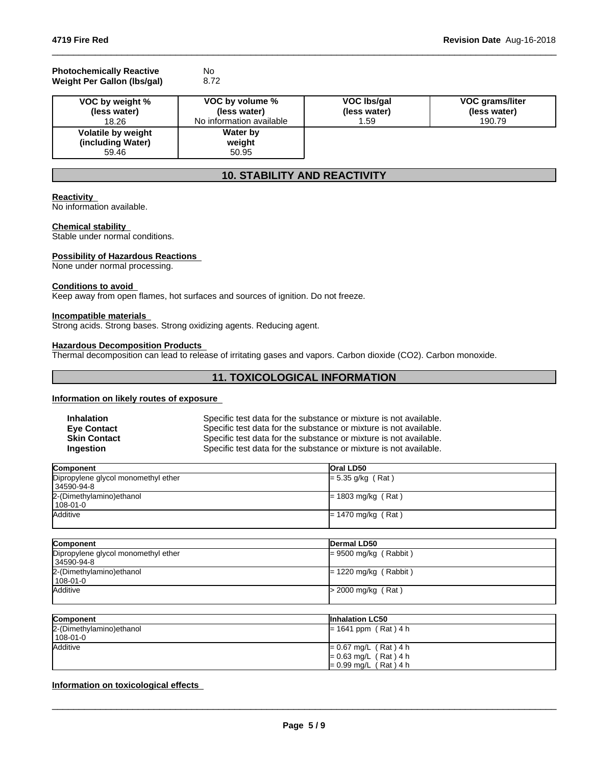#### **Photochemically Reactive** No<br> **Weight Per Gallon (Ibs/gal)** 8.72 **Weight Per Gallon (Ibs/gal)**

| VOC by weight %                                  | VOC by volume %                    | VOC Ibs/gal  | VOC grams/liter |
|--------------------------------------------------|------------------------------------|--------------|-----------------|
| (less water)                                     | (less water)                       | (less water) | (less water)    |
| 18.26                                            | No information available           | 1.59         | 190.79          |
| Volatile by weight<br>(including Water)<br>59.46 | <b>Water by</b><br>weight<br>50.95 |              |                 |

 $\_$  ,  $\_$  ,  $\_$  ,  $\_$  ,  $\_$  ,  $\_$  ,  $\_$  ,  $\_$  ,  $\_$  ,  $\_$  ,  $\_$  ,  $\_$  ,  $\_$  ,  $\_$  ,  $\_$  ,  $\_$  ,  $\_$  ,  $\_$  ,  $\_$  ,  $\_$  ,  $\_$  ,  $\_$  ,  $\_$  ,  $\_$  ,  $\_$  ,  $\_$  ,  $\_$  ,  $\_$  ,  $\_$  ,  $\_$  ,  $\_$  ,  $\_$  ,  $\_$  ,  $\_$  ,  $\_$  ,  $\_$  ,  $\_$  ,

# **10. STABILITY AND REACTIVITY**

# **Reactivity**

No information available.

#### **Chemical stability**

Stable under normal conditions.

#### **Possibility of Hazardous Reactions**

None under normal processing.

#### **Conditions to avoid**

Keep away from open flames, hot surfaces and sources of ignition. Do not freeze.

#### **Incompatible materials**

Strong acids. Strong bases. Strong oxidizing agents. Reducing agent.

#### **Hazardous Decomposition Products**

Thermal decomposition can lead to release of irritating gases and vapors. Carbon dioxide (CO2). Carbon monoxide.

# **11. TOXICOLOGICAL INFORMATION**

# **Information on likely routes of exposure**

| <b>Inhalation</b>   | Specific test data for the substance or mixture is not available. |
|---------------------|-------------------------------------------------------------------|
| <b>Eve Contact</b>  | Specific test data for the substance or mixture is not available. |
| <b>Skin Contact</b> | Specific test data for the substance or mixture is not available. |
| Ingestion           | Specific test data for the substance or mixture is not available. |

| Component                           | <b>Oral LD50</b>     |
|-------------------------------------|----------------------|
| Dipropylene glycol monomethyl ether | $= 5.35$ g/kg (Rat)  |
| 34590-94-8                          |                      |
| 2-(Dimethylamino) ethanol           | $= 1803$ mg/kg (Rat) |
| l 108-01-0                          |                      |
| <b>Additive</b>                     | $= 1470$ mg/kg (Rat) |
|                                     |                      |

| Dermal LD50             |
|-------------------------|
| $= 9500$ mg/kg (Rabbit) |
|                         |
| $= 1220$ mg/kg (Rabbit) |
|                         |
| $>$ 2000 mg/kg (Rat)    |
|                         |
|                         |

| Component                 | <b>Inhalation LC50</b>  |
|---------------------------|-------------------------|
| 2-(Dimethylamino) ethanol | $= 1641$ ppm (Rat) 4 h  |
| 108-01-0                  |                         |
| Additive                  | $= 0.67$ mg/L (Rat) 4 h |
|                           | $= 0.63$ mg/L (Rat) 4 h |
|                           | $= 0.99$ mg/L (Rat) 4 h |

# **Information on toxicological effects**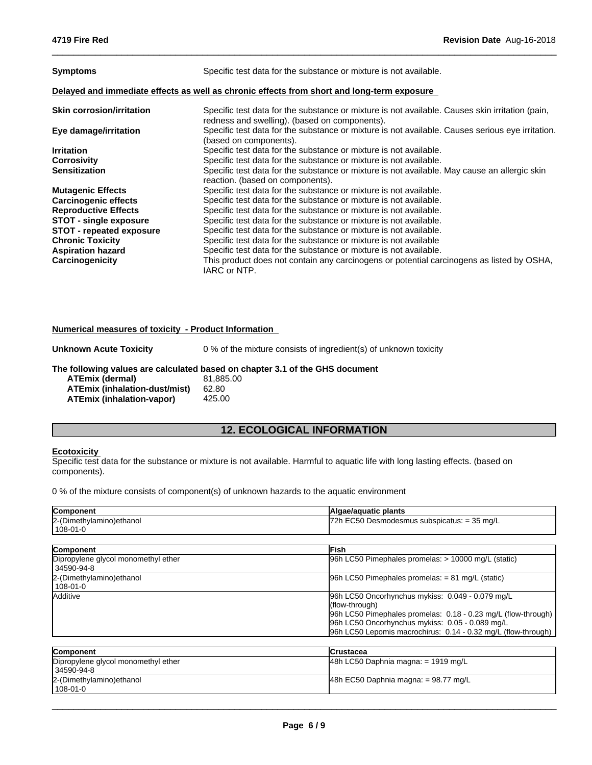| <b>Symptoms</b>                                                                            | Specific test data for the substance or mixture is not available.                                                                                |  |  |
|--------------------------------------------------------------------------------------------|--------------------------------------------------------------------------------------------------------------------------------------------------|--|--|
| Delayed and immediate effects as well as chronic effects from short and long-term exposure |                                                                                                                                                  |  |  |
| <b>Skin corrosion/irritation</b>                                                           | Specific test data for the substance or mixture is not available. Causes skin irritation (pain,<br>redness and swelling). (based on components). |  |  |
| Eye damage/irritation                                                                      | Specific test data for the substance or mixture is not available. Causes serious eye irritation.<br>(based on components).                       |  |  |
| <b>Irritation</b>                                                                          | Specific test data for the substance or mixture is not available.                                                                                |  |  |
| Corrosivity                                                                                | Specific test data for the substance or mixture is not available.                                                                                |  |  |
| <b>Sensitization</b>                                                                       | Specific test data for the substance or mixture is not available. May cause an allergic skin<br>reaction. (based on components).                 |  |  |
| <b>Mutagenic Effects</b>                                                                   | Specific test data for the substance or mixture is not available.                                                                                |  |  |
| <b>Carcinogenic effects</b>                                                                | Specific test data for the substance or mixture is not available.                                                                                |  |  |
| <b>Reproductive Effects</b>                                                                | Specific test data for the substance or mixture is not available.                                                                                |  |  |
| <b>STOT - single exposure</b>                                                              | Specific test data for the substance or mixture is not available.                                                                                |  |  |
| <b>STOT - repeated exposure</b>                                                            | Specific test data for the substance or mixture is not available.                                                                                |  |  |
| <b>Chronic Toxicity</b>                                                                    | Specific test data for the substance or mixture is not available                                                                                 |  |  |
| <b>Aspiration hazard</b>                                                                   | Specific test data for the substance or mixture is not available.                                                                                |  |  |
| Carcinogenicity                                                                            | This product does not contain any carcinogens or potential carcinogens as listed by OSHA,<br>IARC or NTP.                                        |  |  |

 $\_$  ,  $\_$  ,  $\_$  ,  $\_$  ,  $\_$  ,  $\_$  ,  $\_$  ,  $\_$  ,  $\_$  ,  $\_$  ,  $\_$  ,  $\_$  ,  $\_$  ,  $\_$  ,  $\_$  ,  $\_$  ,  $\_$  ,  $\_$  ,  $\_$  ,  $\_$  ,  $\_$  ,  $\_$  ,  $\_$  ,  $\_$  ,  $\_$  ,  $\_$  ,  $\_$  ,  $\_$  ,  $\_$  ,  $\_$  ,  $\_$  ,  $\_$  ,  $\_$  ,  $\_$  ,  $\_$  ,  $\_$  ,  $\_$  ,

#### **Numerical measures of toxicity - Product Information**

**Unknown Acute Toxicity** 0 % of the mixture consists of ingredient(s) of unknown toxicity

#### **The following values are calculated based on chapter 3.1 of the GHS document**

| <b>ATEmix (dermal)</b>               | 81.885.00 |
|--------------------------------------|-----------|
| <b>ATEmix (inhalation-dust/mist)</b> | 62.80     |
| ATEmix (inhalation-vapor)            | 425.00    |

# **12. ECOLOGICAL INFORMATION**

#### **Ecotoxicity**

Specific test data for the substance or mixture is not available. Harmful to aquatic life with long lasting effects. (based on components).

0 % of the mixture consists of component(s) of unknown hazards to the aquatic environment

| Component                                         | Algae/aquatic plants                                                                                                                                                                                                                                    |  |  |
|---------------------------------------------------|---------------------------------------------------------------------------------------------------------------------------------------------------------------------------------------------------------------------------------------------------------|--|--|
| 2-(Dimethylamino) ethanol<br>108-01-0             | 72h EC50 Desmodesmus subspicatus: = 35 mg/L                                                                                                                                                                                                             |  |  |
|                                                   |                                                                                                                                                                                                                                                         |  |  |
| Component                                         | <b>IFish</b>                                                                                                                                                                                                                                            |  |  |
| Dipropylene glycol monomethyl ether<br>34590-94-8 | 96h LC50 Pimephales promelas: > 10000 mg/L (static)                                                                                                                                                                                                     |  |  |
| 2-(Dimethylamino) ethanol<br>108-01-0             | 96h LC50 Pimephales promelas: $= 81$ mg/L (static)                                                                                                                                                                                                      |  |  |
| Additive                                          | 96h LC50 Oncorhynchus mykiss: 0.049 - 0.079 mg/L<br>(flow-through)<br>96h LC50 Pimephales promelas: 0.18 - 0.23 mg/L (flow-through)<br>96h LC50 Oncorhynchus mykiss: 0.05 - 0.089 mg/L<br>96h LC50 Lepomis macrochirus: 0.14 - 0.32 mg/L (flow-through) |  |  |
| <b>Component</b>                                  | <b>ICrustacea</b>                                                                                                                                                                                                                                       |  |  |
| Dipropylene glycol monomethyl ether<br>34590-94-8 | 48h LC50 Daphnia magna: = 1919 mg/L                                                                                                                                                                                                                     |  |  |
| 2-(Dimethylamino) ethanol<br>108-01-0             | 48h EC50 Daphnia magna: = 98.77 mg/L                                                                                                                                                                                                                    |  |  |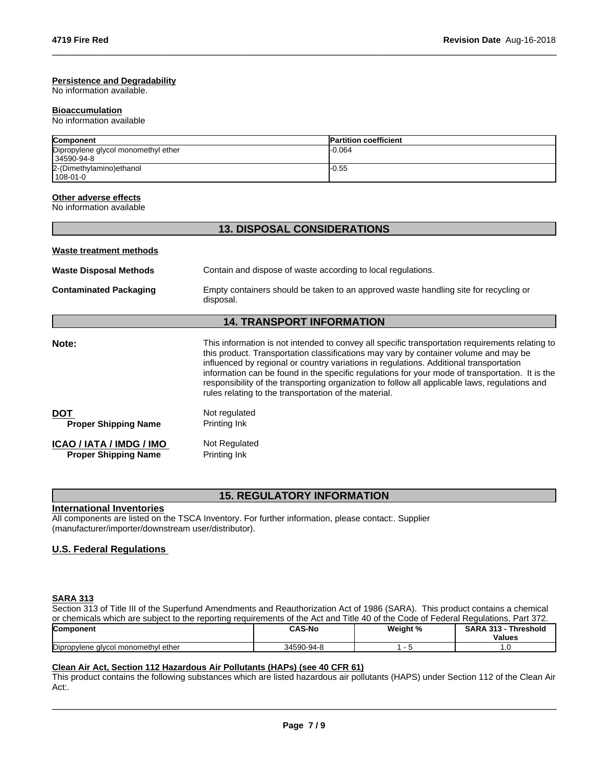#### **Persistence and Degradability**

No information available.

#### **Bioaccumulation**

No information available

| <b>Component</b>                    | <b>Partition coefficient</b> |
|-------------------------------------|------------------------------|
| Dipropylene glycol monomethyl ether | -0.064                       |
| 34590-94-8                          |                              |
| 2-(Dimethylamino) ethanol           | -0.55                        |
| 108-01-0                            |                              |

 $\_$  ,  $\_$  ,  $\_$  ,  $\_$  ,  $\_$  ,  $\_$  ,  $\_$  ,  $\_$  ,  $\_$  ,  $\_$  ,  $\_$  ,  $\_$  ,  $\_$  ,  $\_$  ,  $\_$  ,  $\_$  ,  $\_$  ,  $\_$  ,  $\_$  ,  $\_$  ,  $\_$  ,  $\_$  ,  $\_$  ,  $\_$  ,  $\_$  ,  $\_$  ,  $\_$  ,  $\_$  ,  $\_$  ,  $\_$  ,  $\_$  ,  $\_$  ,  $\_$  ,  $\_$  ,  $\_$  ,  $\_$  ,  $\_$  ,

### **Other adverse effects**

No information available

| <b>13. DISPOSAL CONSIDERATIONS</b>                                                                                                                                                                                                                                                                                                                                                                                                                                                                                                              |
|-------------------------------------------------------------------------------------------------------------------------------------------------------------------------------------------------------------------------------------------------------------------------------------------------------------------------------------------------------------------------------------------------------------------------------------------------------------------------------------------------------------------------------------------------|
|                                                                                                                                                                                                                                                                                                                                                                                                                                                                                                                                                 |
| Contain and dispose of waste according to local regulations.                                                                                                                                                                                                                                                                                                                                                                                                                                                                                    |
| Empty containers should be taken to an approved waste handling site for recycling or<br>disposal.                                                                                                                                                                                                                                                                                                                                                                                                                                               |
| <b>14. TRANSPORT INFORMATION</b>                                                                                                                                                                                                                                                                                                                                                                                                                                                                                                                |
| This information is not intended to convey all specific transportation requirements relating to<br>this product. Transportation classifications may vary by container volume and may be<br>influenced by regional or country variations in regulations. Additional transportation<br>information can be found in the specific regulations for your mode of transportation. It is the<br>responsibility of the transporting organization to follow all applicable laws, regulations and<br>rules relating to the transportation of the material. |
| Not regulated<br>Printing Ink                                                                                                                                                                                                                                                                                                                                                                                                                                                                                                                   |
| Not Regulated<br>Printing Ink                                                                                                                                                                                                                                                                                                                                                                                                                                                                                                                   |
|                                                                                                                                                                                                                                                                                                                                                                                                                                                                                                                                                 |

# **15. REGULATORY INFORMATION**

#### **International Inventories**

All components are listed on the TSCA Inventory. For further information, please contact:. Supplier (manufacturer/importer/downstream user/distributor).

### **U.S. Federal Regulations**

# **SARA 313**

Section 313 of Title III of the Superfund Amendments and Reauthorization Act of 1986 (SARA). This product contains a chemical or chemicals which are subject to the reporting requirements of the Act and Title 40 of the Code of Federal Regulations, Part 372.

| Component                                | <b>CAS-No</b>   | Weight % | -949<br>Threshold<br>ΞA<br>.<br><b>Values</b> |
|------------------------------------------|-----------------|----------|-----------------------------------------------|
| Dipropylene glycol<br>I monomethvl ether | 34590<br>า-94-เ |          | . ب                                           |

# **Clean Air Act,Section 112 Hazardous Air Pollutants (HAPs) (see 40 CFR 61)**

This product contains the following substances which are listed hazardous air pollutants (HAPS) under Section 112 of the Clean Air Act:.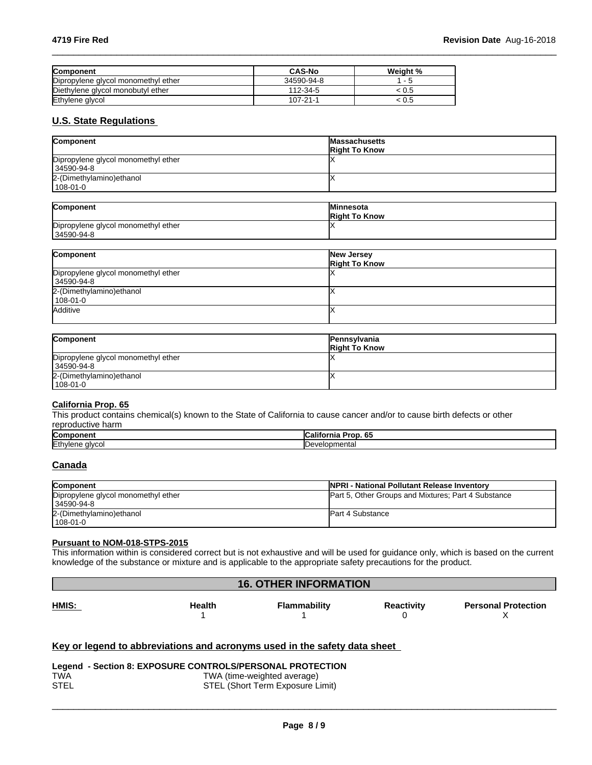| <b>Component</b>                    | <b>CAS-No</b> | Weight %                 |
|-------------------------------------|---------------|--------------------------|
| Dipropylene glycol monomethyl ether | 34590-94-8    | $\overline{\phantom{0}}$ |
| Diethylene glycol monobutyl ether   | 112-34-5      | .U5                      |
| Ethylene glycol                     | 107-21-1      | ະ ບ.5                    |

# **U.S. State Regulations**

| Component                           | <b>Massachusetts</b><br><b>Right To Know</b> |
|-------------------------------------|----------------------------------------------|
| Dipropylene glycol monomethyl ether |                                              |
| 34590-94-8                          |                                              |
| 2-(Dimethylamino) ethanol           |                                              |
| $1108 - 01 - 0$                     |                                              |

 $\_$  ,  $\_$  ,  $\_$  ,  $\_$  ,  $\_$  ,  $\_$  ,  $\_$  ,  $\_$  ,  $\_$  ,  $\_$  ,  $\_$  ,  $\_$  ,  $\_$  ,  $\_$  ,  $\_$  ,  $\_$  ,  $\_$  ,  $\_$  ,  $\_$  ,  $\_$  ,  $\_$  ,  $\_$  ,  $\_$  ,  $\_$  ,  $\_$  ,  $\_$  ,  $\_$  ,  $\_$  ,  $\_$  ,  $\_$  ,  $\_$  ,  $\_$  ,  $\_$  ,  $\_$  ,  $\_$  ,  $\_$  ,  $\_$  ,

| Component                           | <b>Minnesota</b><br><b>Right To Know</b> |
|-------------------------------------|------------------------------------------|
| Dipropylene glycol monomethyl ether |                                          |
| 34590-94-8                          |                                          |

| Component                           | New Jersey           |
|-------------------------------------|----------------------|
|                                     | <b>Right To Know</b> |
| Dipropylene glycol monomethyl ether |                      |
| 34590-94-8                          |                      |
| 2-(Dimethylamino) ethanol           |                      |
| 108-01-0                            |                      |
| Additive                            |                      |
|                                     |                      |

| Component                                         | <b>Pennsylvania</b><br><b>Right To Know</b> |
|---------------------------------------------------|---------------------------------------------|
| Dipropylene glycol monomethyl ether<br>34590-94-8 |                                             |
| 2-(Dimethylamino) ethanol<br>$108 - 01 - 0$       |                                             |

#### **California Prop. 65**

This product contains chemical(s) known to the State of California to cause cancer and/or to cause birth defects or other reproductive harm

| Component | <br>$\mathbf{r}$<br>.<br>California<br>тор. оз |
|-----------|------------------------------------------------|
| Ethylene  | lopmental                                      |
| alvco.    | ۱۵۱٬۰                                          |

# **Canada**

| <b>Component</b>                    | <b>INPRI - National Pollutant Release Inventory</b> |
|-------------------------------------|-----------------------------------------------------|
| Dipropylene glycol monomethyl ether | Part 5, Other Groups and Mixtures; Part 4 Substance |
| l 34590-94-8                        |                                                     |
| 2-(Dimethylamino) ethanol           | <b>Part 4 Substance</b>                             |
| $108 - 01 - 0$                      |                                                     |

### **Pursuant to NOM-018-STPS-2015**

This information within isconsidered correct but is not exhaustive and will be used for guidance only, which is based on the current knowledge of the substance or mixture and is applicable to the appropriate safety precautions for the product.

# **16. OTHER INFORMATION**

**HMIS: Health Flammability**  $1$  $1$ **Reactivity Personal Protection** 0  $\boldsymbol{\mathsf{X}}$  and  $\boldsymbol{\mathsf{X}}$  and  $\boldsymbol{\mathsf{X}}$  and  $\boldsymbol{\mathsf{X}}$  and  $\boldsymbol{\mathsf{X}}$  and  $\boldsymbol{\mathsf{X}}$  and  $\boldsymbol{\mathsf{X}}$  and  $\boldsymbol{\mathsf{X}}$  and  $\boldsymbol{\mathsf{X}}$  and  $\boldsymbol{\mathsf{X}}$  and  $\boldsymbol{\mathsf{X}}$  and  $\boldsymbol{\mathsf{X}}$  and  $\boldsymbol{\mathsf{X}}$  and  $\boldsymbol{\mathsf{X}}$  a

# **Key or legend to abbreviations and acronyms used in the safety data sheet**

|             | Legend - Section 8: EXPOSURE CONTROLS/PERSONAL PROTECTION |
|-------------|-----------------------------------------------------------|
| <b>TWA</b>  | TWA (time-weighted average)                               |
| <b>STEL</b> | STEL (Short Term Exposure Limit)                          |